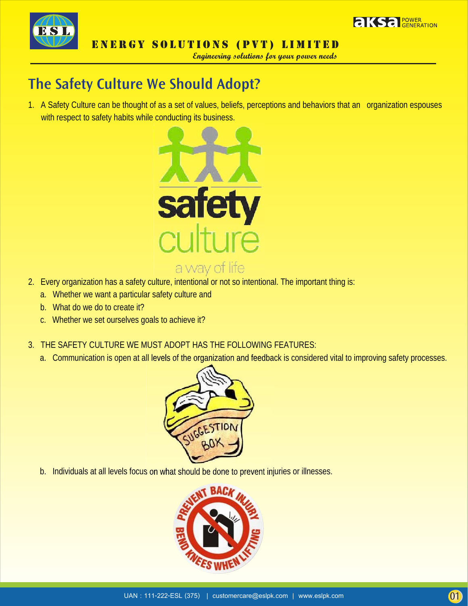



Engineering solutions for your power needs

## The Safety Culture We Should Adopt?

1. A Safety Culture can be thought of as a set of values, beliefs, perceptions and behaviors that an organization espouses with respect to safety habits while conducting its business.



- 2. Every organization has a safety culture, intentional or not so intentional. The important thing is:
	- a. Whether we want a particular safety culture and
	- b. What do we do to create it?
	- c. Whether we set ourselves goals to achieve it?
- 3. THE SAFETY CULTURE WE MUST ADOPT HAS THE FOLLOWING FEATURES:
	- a. Communication is open at all levels of the organization and feedback is considered vital to improving safety processes.



b. Individuals at all levels focus on what should be done to prevent injuries or illnesses.

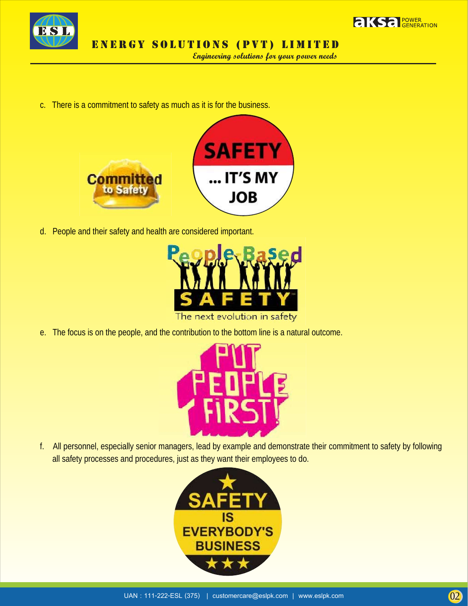



Engineering solutions for your power needs

c. There is a commitment to safety as much as it is for the business.



d. People and their safety and health are considered important.



e. The focus is on the people, and the contribution to the bottom line is a natural outcome.



f. All personnel, especially senior managers, lead by example and demonstrate their commitment to safety by following all safety processes and procedures, just as they want their employees to do.

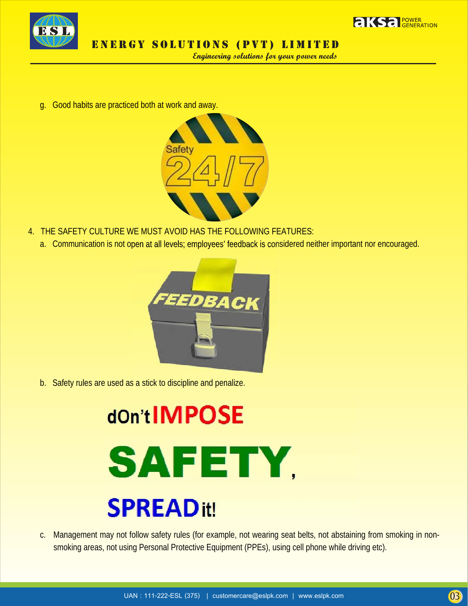



Engineering solutions for your power needs

g. Good habits are practiced both at work and away.



- 4. THE SAFETY CULTURE WE MUST AVOID HAS THE FOLLOWING FEATURES:
	- a. Communication is not open at all levels; employees' feedback is considered neither important nor encouraged.



b. Safety rules are used as a stick to discipline and penalize.

## dOn tIMPOSE **SAFETY, SPREADit!**

c. Management may not follow safety rules (for example, not wearing seat belts, not abstaining from smoking in nonsmoking areas, not using Personal Protective Equipment (PPEs), using cell phone while driving etc).